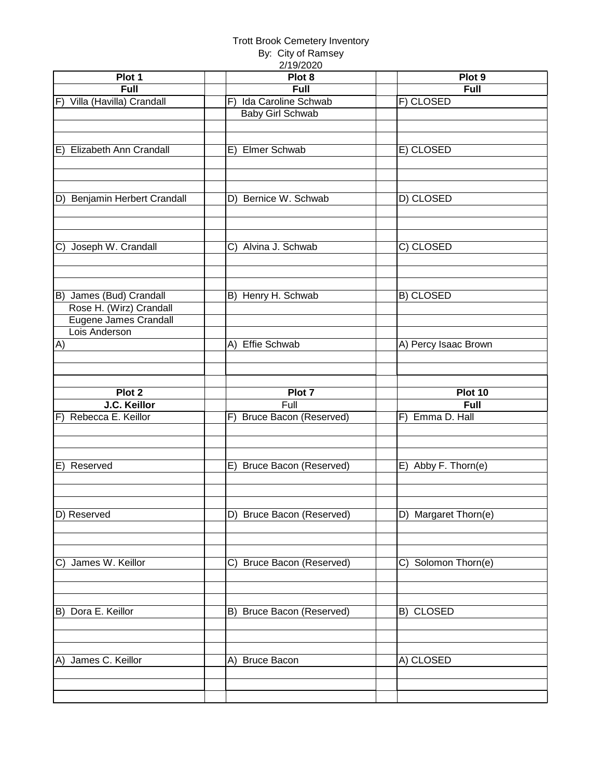#### Trott Brook Cemetery Inventory

| By: City of Ramsey |
|--------------------|
| 2/10/2020          |

| Plot 1                       | ZI 191ZUZU<br>Plot 8        | Plot 9               |
|------------------------------|-----------------------------|----------------------|
|                              |                             |                      |
| Full                         | Full<br>Ida Caroline Schwab | <b>Full</b>          |
| F) Villa (Havilla) Crandall  | F)                          | F) CLOSED            |
|                              | Baby Girl Schwab            |                      |
|                              |                             |                      |
|                              |                             |                      |
| E) Elizabeth Ann Crandall    | E) Elmer Schwab             | E) CLOSED            |
|                              |                             |                      |
|                              |                             |                      |
|                              |                             |                      |
| D) Benjamin Herbert Crandall | D) Bernice W. Schwab        | D) CLOSED            |
|                              |                             |                      |
|                              |                             |                      |
|                              |                             |                      |
| Joseph W. Crandall<br>C)     | C) Alvina J. Schwab         | C) CLOSED            |
|                              |                             |                      |
|                              |                             |                      |
|                              |                             |                      |
| B) James (Bud) Crandall      | B) Henry H. Schwab          | B) CLOSED            |
| Rose H. (Wirz) Crandall      |                             |                      |
| Eugene James Crandall        |                             |                      |
| Lois Anderson                |                             |                      |
| A)                           | A) Effie Schwab             | A) Percy Isaac Brown |
|                              |                             |                      |
|                              |                             |                      |
|                              |                             |                      |
| Plot 2                       | Plot 7                      | Plot 10              |
|                              |                             |                      |
| J.C. Keillor                 | Full                        | Full                 |
| F) Rebecca E. Keillor        | F) Bruce Bacon (Reserved)   | F) Emma D. Hall      |
|                              |                             |                      |
|                              |                             |                      |
|                              |                             |                      |
| E)<br>Reserved               | E) Bruce Bacon (Reserved)   | E) Abby F. Thorn(e)  |
|                              |                             |                      |
|                              |                             |                      |
|                              |                             |                      |
| D) Reserved                  | D) Bruce Bacon (Reserved)   | D) Margaret Thorn(e) |
|                              |                             |                      |
|                              |                             |                      |
|                              |                             |                      |
| C) James W. Keillor          | C) Bruce Bacon (Reserved)   | C) Solomon Thorn(e)  |
|                              |                             |                      |
|                              |                             |                      |
|                              |                             |                      |
| B) Dora E. Keillor           | B) Bruce Bacon (Reserved)   | B) CLOSED            |
|                              |                             |                      |
|                              |                             |                      |
|                              |                             |                      |
| A) James C. Keillor          | A) Bruce Bacon              | A) CLOSED            |
|                              |                             |                      |
|                              |                             |                      |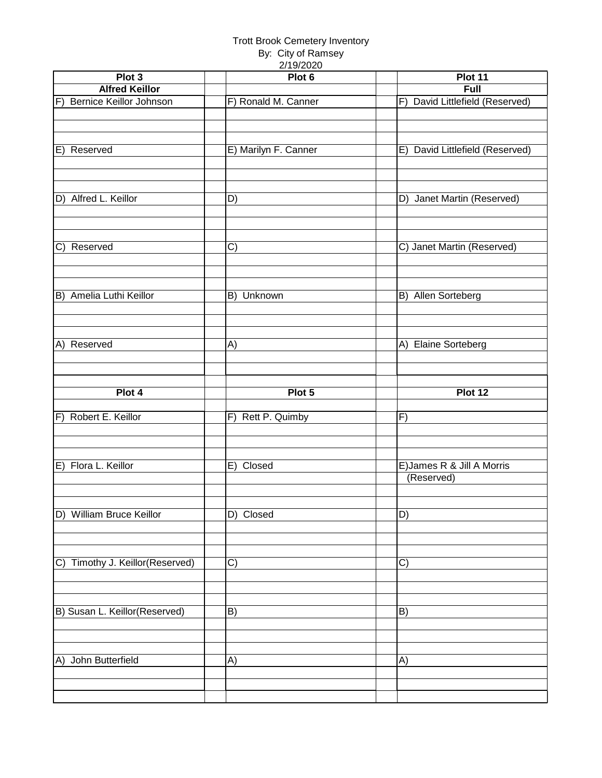| Plot 3                                       | 21192020<br>Plot 6   | Plot 11                            |
|----------------------------------------------|----------------------|------------------------------------|
| <b>Alfred Keillor</b>                        |                      | Full                               |
| F) Bernice Keillor Johnson                   | F) Ronald M. Canner  | F) David Littlefield (Reserved)    |
|                                              |                      |                                    |
|                                              |                      |                                    |
|                                              |                      |                                    |
|                                              |                      |                                    |
| Reserved<br>E)                               | E) Marilyn F. Canner | David Littlefield (Reserved)<br>E) |
|                                              |                      |                                    |
|                                              |                      |                                    |
|                                              |                      |                                    |
| D) Alfred L. Keillor                         | D)                   | D) Janet Martin (Reserved)         |
|                                              |                      |                                    |
|                                              |                      |                                    |
|                                              |                      |                                    |
| C) Reserved                                  | C)                   | C) Janet Martin (Reserved)         |
|                                              |                      |                                    |
|                                              |                      |                                    |
|                                              |                      |                                    |
|                                              |                      |                                    |
| B) Amelia Luthi Keillor                      | B) Unknown           | B)<br>Allen Sorteberg              |
|                                              |                      |                                    |
|                                              |                      |                                    |
|                                              |                      |                                    |
| Reserved<br>A)                               | A)                   | A) Elaine Sorteberg                |
|                                              |                      |                                    |
|                                              |                      |                                    |
|                                              |                      |                                    |
| Plot 4                                       | Plot 5               | Plot 12                            |
|                                              |                      |                                    |
| F) Robert E. Keillor                         | F) Rett P. Quimby    | F)                                 |
|                                              |                      |                                    |
|                                              |                      |                                    |
|                                              |                      |                                    |
|                                              |                      |                                    |
|                                              |                      |                                    |
| E) Flora L. Keillor                          | E) Closed            | E) James R & Jill A Morris         |
|                                              |                      | (Reserved)                         |
|                                              |                      |                                    |
|                                              |                      |                                    |
| D) William Bruce Keillor                     | D) Closed            | D)                                 |
|                                              |                      |                                    |
|                                              |                      |                                    |
|                                              |                      |                                    |
|                                              |                      |                                    |
| Timothy J. Keillor(Reserved)<br>$\mathsf{C}$ | C)                   | $\mathcal{C}$                      |
|                                              |                      |                                    |
|                                              |                      |                                    |
|                                              |                      |                                    |
| B) Susan L. Keillor(Reserved)                | B)                   | B)                                 |
|                                              |                      |                                    |
|                                              |                      |                                    |
|                                              |                      |                                    |
| A) John Butterfield                          | A)                   | A)                                 |
|                                              |                      |                                    |
|                                              |                      |                                    |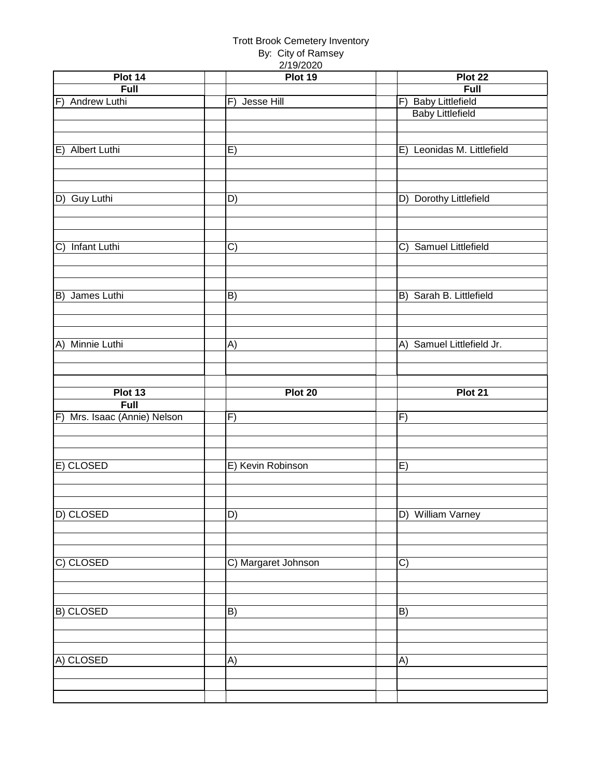| Plot 14                      | $\mathbf{r}$ , $\mathbf{v}$ , $\mathbf{r}$<br>Plot 19 | Plot 22                    |
|------------------------------|-------------------------------------------------------|----------------------------|
| Full                         |                                                       | Full                       |
| F) Andrew Luthi              | F) Jesse Hill                                         | F) Baby Littlefield        |
|                              |                                                       | <b>Baby Littlefield</b>    |
|                              |                                                       |                            |
|                              |                                                       |                            |
| E) Albert Luthi              | E)                                                    | E) Leonidas M. Littlefield |
|                              |                                                       |                            |
|                              |                                                       |                            |
|                              |                                                       |                            |
| D) Guy Luthi                 | D)                                                    | D) Dorothy Littlefield     |
|                              |                                                       |                            |
|                              |                                                       |                            |
|                              |                                                       |                            |
|                              |                                                       |                            |
| <b>Infant Luthi</b><br>C)    | C)                                                    | C) Samuel Littlefield      |
|                              |                                                       |                            |
|                              |                                                       |                            |
|                              |                                                       |                            |
| B) James Luthi               | B)                                                    | B) Sarah B. Littlefield    |
|                              |                                                       |                            |
|                              |                                                       |                            |
|                              |                                                       |                            |
| A) Minnie Luthi              | A)                                                    | A) Samuel Littlefield Jr.  |
|                              |                                                       |                            |
|                              |                                                       |                            |
|                              |                                                       |                            |
|                              |                                                       |                            |
| Plot 13                      | Plot 20                                               | Plot 21                    |
| Full                         |                                                       |                            |
| F) Mrs. Isaac (Annie) Nelson | F)                                                    | F)                         |
|                              |                                                       |                            |
|                              |                                                       |                            |
|                              |                                                       |                            |
|                              |                                                       |                            |
| E) CLOSED                    | E) Kevin Robinson                                     | E)                         |
|                              |                                                       |                            |
|                              |                                                       |                            |
|                              |                                                       |                            |
|                              | $\overline{D}$                                        | D) William Varney          |
|                              |                                                       |                            |
| D) CLOSED                    |                                                       |                            |
|                              |                                                       |                            |
| C) CLOSED                    | C) Margaret Johnson                                   | $\overline{C}$             |
|                              |                                                       |                            |
|                              |                                                       |                            |
|                              |                                                       |                            |
| <b>B) CLOSED</b>             | B)                                                    | B)                         |
|                              |                                                       |                            |
|                              |                                                       |                            |
|                              |                                                       |                            |
| A) CLOSED                    | A)                                                    | A)                         |
|                              |                                                       |                            |
|                              |                                                       |                            |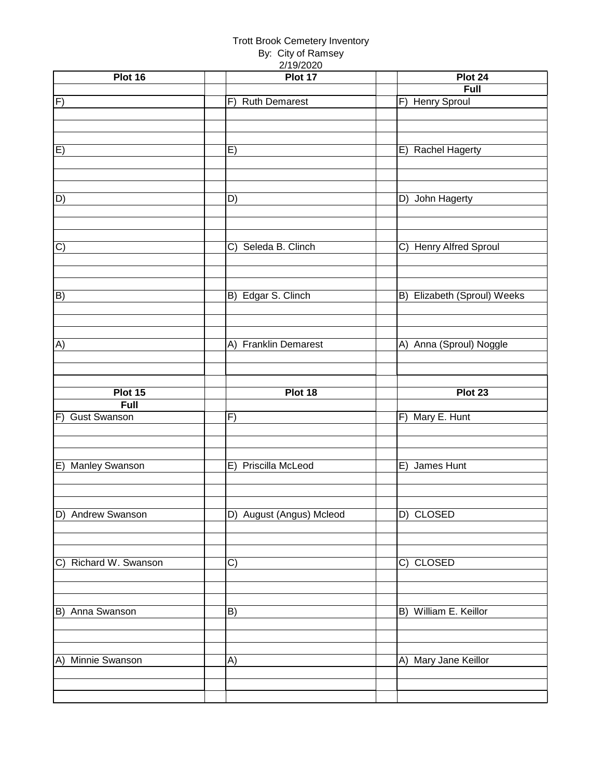|                       | <b>Trott Brook Cemetery Inventory</b><br>By: City of Ramsey |                                  |
|-----------------------|-------------------------------------------------------------|----------------------------------|
| Plot 16               | 2/19/2020<br>Plot 17                                        | Plot 24                          |
|                       |                                                             | Full                             |
| $\overline{F}$        | <b>Ruth Demarest</b><br>F)                                  | F) Henry Sproul                  |
| $\overline{E}$        | E)                                                          | E) Rachel Hagerty                |
| D)                    | D)                                                          | John Hagerty<br>D)               |
| $\overline{C}$        | Seleda B. Clinch<br>C)                                      | <b>Henry Alfred Sproul</b><br>C) |
| B)                    | B) Edgar S. Clinch                                          | B) Elizabeth (Sproul) Weeks      |
| A)                    | A) Franklin Demarest                                        | A) Anna (Sproul) Noggle          |
|                       |                                                             |                                  |
| Plot 15               | Plot 18                                                     | Plot 23                          |
| Full                  |                                                             |                                  |
| F) Gust Swanson       | F)                                                          | F) Mary E. Hunt                  |
|                       |                                                             |                                  |
|                       |                                                             |                                  |
| E) Manley Swanson     | E) Priscilla McLeod                                         | E) James Hunt                    |
|                       |                                                             |                                  |
|                       |                                                             |                                  |
| D) Andrew Swanson     | D) August (Angus) Mcleod                                    | D) CLOSED                        |
|                       |                                                             |                                  |
|                       |                                                             |                                  |
| C) Richard W. Swanson | C)                                                          | C) CLOSED                        |
|                       |                                                             |                                  |
|                       |                                                             |                                  |
| B) Anna Swanson       | B)                                                          | B) William E. Keillor            |
|                       |                                                             |                                  |
|                       |                                                             |                                  |
| A) Minnie Swanson     | A)                                                          | A) Mary Jane Keillor             |
|                       |                                                             |                                  |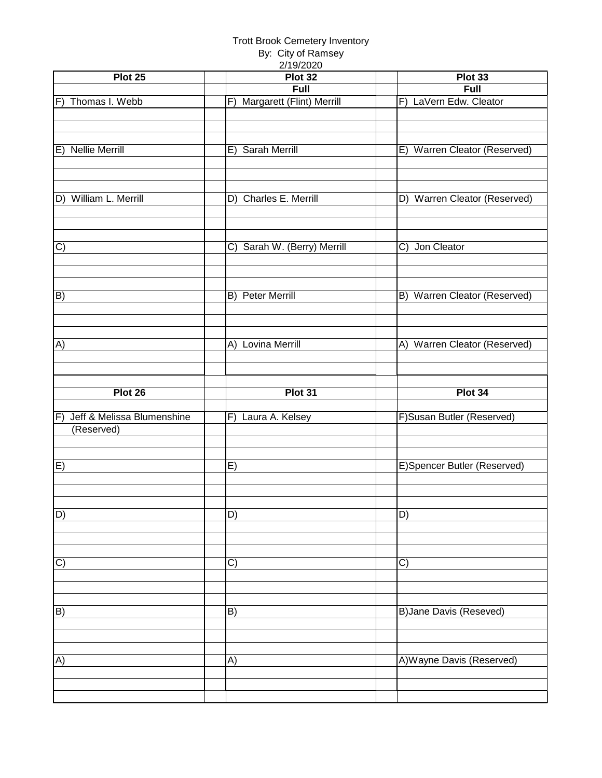| Plot 25                           | 2/19/2020<br>Plot 32            | Plot 33                       |
|-----------------------------------|---------------------------------|-------------------------------|
|                                   | Full                            | Full                          |
| F) Thomas I. Webb                 | Margarett (Flint) Merrill<br>F) | F) LaVern Edw. Cleator        |
|                                   |                                 |                               |
|                                   |                                 |                               |
|                                   |                                 |                               |
| E) Nellie Merrill                 | Sarah Merrill<br>E)             | E) Warren Cleator (Reserved)  |
|                                   |                                 |                               |
|                                   |                                 |                               |
|                                   |                                 |                               |
| D) William L. Merrill             | D) Charles E. Merrill           | D) Warren Cleator (Reserved)  |
|                                   |                                 |                               |
|                                   |                                 |                               |
|                                   |                                 |                               |
| $\vert C)$                        | C) Sarah W. (Berry) Merrill     | C) Jon Cleator                |
|                                   |                                 |                               |
|                                   |                                 |                               |
|                                   |                                 |                               |
| B)                                | B) Peter Merrill                | B) Warren Cleator (Reserved)  |
|                                   |                                 |                               |
|                                   |                                 |                               |
|                                   |                                 |                               |
| A)                                | A) Lovina Merrill               | A) Warren Cleator (Reserved)  |
|                                   |                                 |                               |
|                                   |                                 |                               |
| Plot 26                           | Plot 31                         | Plot 34                       |
|                                   |                                 |                               |
|                                   |                                 |                               |
|                                   |                                 |                               |
| IF)<br>Jeff & Melissa Blumenshine | F) Laura A. Kelsey              | F)Susan Butler (Reserved)     |
| (Reserved)                        |                                 |                               |
|                                   |                                 |                               |
| E)                                | E)                              | E)Spencer Butler (Reserved)   |
|                                   |                                 |                               |
|                                   |                                 |                               |
|                                   |                                 |                               |
| D)                                | D)                              | D)                            |
|                                   |                                 |                               |
|                                   |                                 |                               |
|                                   |                                 |                               |
| $\overline{C}$                    | C)                              | $\mathcal{C}$                 |
|                                   |                                 |                               |
|                                   |                                 |                               |
|                                   |                                 |                               |
| B)                                | B)                              | <b>B)Jane Davis (Reseved)</b> |
|                                   |                                 |                               |
|                                   |                                 |                               |
|                                   |                                 |                               |
| A)                                | A)                              | A) Wayne Davis (Reserved)     |
|                                   |                                 |                               |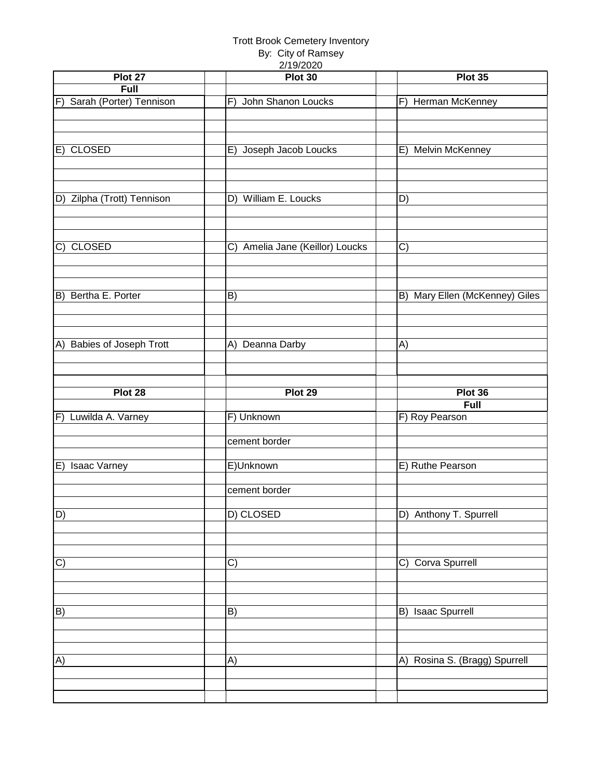| Plot 27                         | $-1101 - 010$<br>Plot 30        | Plot 35                        |
|---------------------------------|---------------------------------|--------------------------------|
| Full                            |                                 |                                |
|                                 |                                 |                                |
| F) Sarah (Porter) Tennison      | John Shanon Loucks<br>F)        | F) Herman McKenney             |
|                                 |                                 |                                |
|                                 |                                 |                                |
|                                 |                                 |                                |
| E) CLOSED                       | Joseph Jacob Loucks<br>E)       | E) Melvin McKenney             |
|                                 |                                 |                                |
|                                 |                                 |                                |
|                                 |                                 |                                |
|                                 |                                 |                                |
| D) Zilpha (Trott) Tennison      | D) William E. Loucks            | D)                             |
|                                 |                                 |                                |
|                                 |                                 |                                |
|                                 |                                 |                                |
| $\overline{C}$<br><b>CLOSED</b> | C) Amelia Jane (Keillor) Loucks | C)                             |
|                                 |                                 |                                |
|                                 |                                 |                                |
|                                 |                                 |                                |
|                                 |                                 |                                |
| B) Bertha E. Porter             | B)                              | B) Mary Ellen (McKenney) Giles |
|                                 |                                 |                                |
|                                 |                                 |                                |
|                                 |                                 |                                |
|                                 |                                 |                                |
| A) Babies of Joseph Trott       | A) Deanna Darby                 | A)                             |
|                                 |                                 |                                |
|                                 |                                 |                                |
|                                 |                                 |                                |
|                                 |                                 |                                |
|                                 |                                 |                                |
| Plot 28                         | Plot 29                         | Plot 36                        |
|                                 |                                 | <b>Full</b>                    |
| F) Luwilda A. Varney            | F) Unknown                      | F) Roy Pearson                 |
|                                 |                                 |                                |
|                                 | cement border                   |                                |
|                                 |                                 |                                |
|                                 |                                 |                                |
| E) Isaac Varney                 | E)Unknown                       | E) Ruthe Pearson               |
|                                 |                                 |                                |
|                                 | cement border                   |                                |
|                                 |                                 |                                |
| $\boxed{\mathsf{D}}$            | D) CLOSED                       | D) Anthony T. Spurrell         |
|                                 |                                 |                                |
|                                 |                                 |                                |
|                                 |                                 |                                |
|                                 |                                 |                                |
| C)                              | C)                              | C) Corva Spurrell              |
|                                 |                                 |                                |
|                                 |                                 |                                |
|                                 |                                 |                                |
| $\boxed{B}$                     | B)                              | B) Isaac Spurrell              |
|                                 |                                 |                                |
|                                 |                                 |                                |
|                                 |                                 |                                |
|                                 |                                 |                                |
| A)                              | A)                              | A) Rosina S. (Bragg) Spurrell  |
|                                 |                                 |                                |
|                                 |                                 |                                |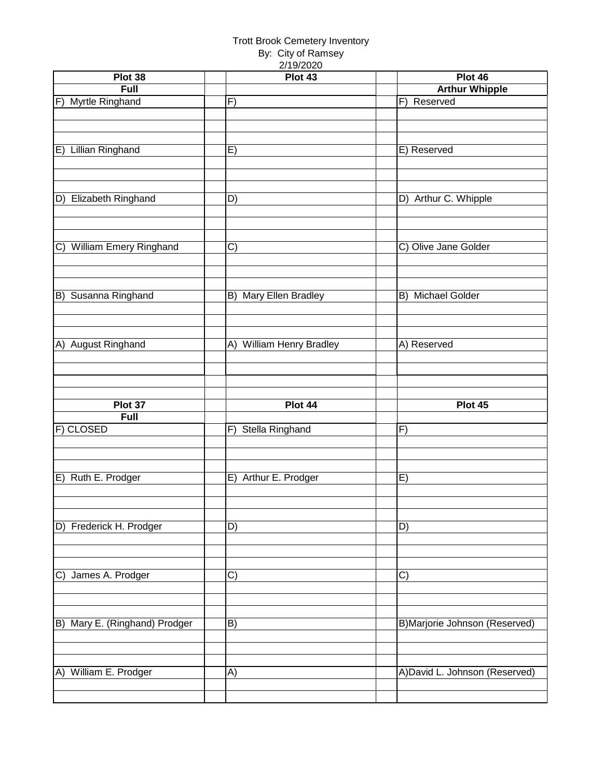| Plot 38                                  | 211312020<br>Plot 43     | Plot 46                        |
|------------------------------------------|--------------------------|--------------------------------|
| Full                                     |                          | <b>Arthur Whipple</b>          |
| <b>Myrtle Ringhand</b><br>$\overline{F}$ | $\overline{F}$           | Reserved<br>$\overline{F}$     |
|                                          |                          |                                |
|                                          |                          |                                |
|                                          |                          |                                |
| E) Lillian Ringhand                      | E)                       | E) Reserved                    |
|                                          |                          |                                |
|                                          |                          |                                |
|                                          |                          |                                |
| D) Elizabeth Ringhand                    | D)                       | D) Arthur C. Whipple           |
|                                          |                          |                                |
|                                          |                          |                                |
|                                          |                          |                                |
| C) William Emery Ringhand                | C)                       | C) Olive Jane Golder           |
|                                          |                          |                                |
|                                          |                          |                                |
|                                          |                          |                                |
| B) Susanna Ringhand                      | B) Mary Ellen Bradley    | <b>Michael Golder</b><br>B)    |
|                                          |                          |                                |
|                                          |                          |                                |
|                                          |                          |                                |
| A) August Ringhand                       | A) William Henry Bradley | A) Reserved                    |
|                                          |                          |                                |
|                                          |                          |                                |
|                                          |                          |                                |
|                                          |                          |                                |
|                                          |                          |                                |
| Plot 37                                  | Plot 44                  | Plot 45                        |
| Full                                     |                          | F)                             |
| F) CLOSED                                | F) Stella Ringhand       |                                |
|                                          |                          |                                |
|                                          |                          |                                |
| E) Ruth E. Prodger                       | E) Arthur E. Prodger     | E)                             |
|                                          |                          |                                |
|                                          |                          |                                |
|                                          |                          |                                |
| D) Frederick H. Prodger                  | D)                       | D)                             |
|                                          |                          |                                |
|                                          |                          |                                |
|                                          |                          |                                |
| C) James A. Prodger                      | C)                       | C)                             |
|                                          |                          |                                |
|                                          |                          |                                |
|                                          |                          |                                |
| B) Mary E. (Ringhand) Prodger            | B)                       | B)Marjorie Johnson (Reserved)  |
|                                          |                          |                                |
|                                          |                          |                                |
|                                          |                          |                                |
| A) William E. Prodger                    | A)                       | A) David L. Johnson (Reserved) |
|                                          |                          |                                |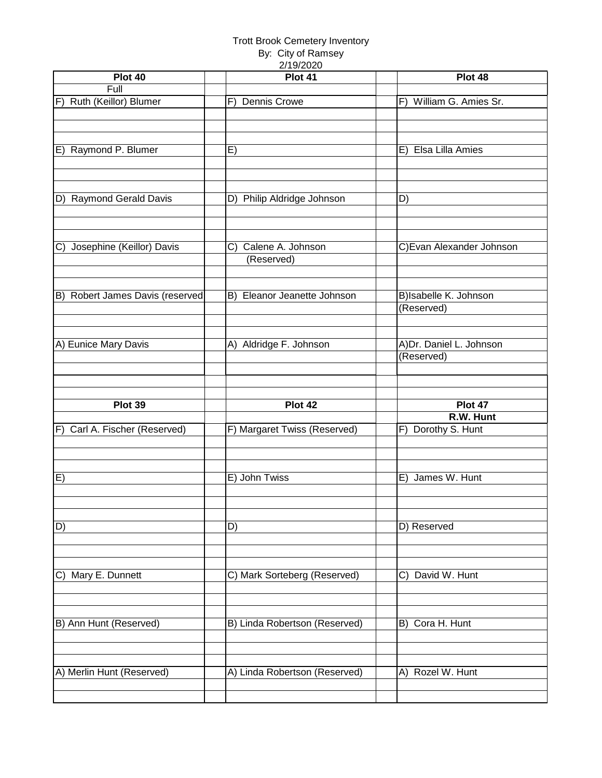| Plot 40                         | 27 I JI ZUZU<br>Plot 41       | Plot 48                    |
|---------------------------------|-------------------------------|----------------------------|
| Full                            |                               |                            |
| Ruth (Keillor) Blumer<br>F)     | <b>Dennis Crowe</b><br>F)     | William G. Amies Sr.<br>F) |
|                                 |                               |                            |
|                                 |                               |                            |
|                                 |                               |                            |
| E) Raymond P. Blumer            | E)                            | Elsa Lilla Amies<br>E)     |
|                                 |                               |                            |
|                                 |                               |                            |
| D) Raymond Gerald Davis         | D) Philip Aldridge Johnson    | D)                         |
|                                 |                               |                            |
|                                 |                               |                            |
|                                 |                               |                            |
| C) Josephine (Keillor) Davis    | C) Calene A. Johnson          | C) Evan Alexander Johnson  |
|                                 | (Reserved)                    |                            |
|                                 |                               |                            |
|                                 |                               |                            |
| B) Robert James Davis (reserved | B) Eleanor Jeanette Johnson   | B)Isabelle K. Johnson      |
|                                 |                               | (Reserved)                 |
|                                 |                               |                            |
| A) Eunice Mary Davis            | A) Aldridge F. Johnson        | A)Dr. Daniel L. Johnson    |
|                                 |                               | (Reserved)                 |
|                                 |                               |                            |
|                                 |                               |                            |
|                                 |                               |                            |
|                                 |                               |                            |
| Plot 39                         | Plot 42                       | Plot 47                    |
|                                 |                               | R.W. Hunt                  |
| F) Carl A. Fischer (Reserved)   | F) Margaret Twiss (Reserved)  | F) Dorothy S. Hunt         |
|                                 |                               |                            |
|                                 |                               |                            |
|                                 |                               |                            |
| E)                              | E) John Twiss                 | James W. Hunt<br>E)        |
|                                 |                               |                            |
|                                 |                               |                            |
| $\overline{D}$                  | D)                            | D) Reserved                |
|                                 |                               |                            |
|                                 |                               |                            |
|                                 |                               |                            |
| C) Mary E. Dunnett              | C) Mark Sorteberg (Reserved)  | David W. Hunt<br>C)        |
|                                 |                               |                            |
|                                 |                               |                            |
|                                 |                               |                            |
| B) Ann Hunt (Reserved)          | B) Linda Robertson (Reserved) | B) Cora H. Hunt            |
|                                 |                               |                            |
|                                 |                               |                            |
| A) Merlin Hunt (Reserved)       | A) Linda Robertson (Reserved) | A) Rozel W. Hunt           |
|                                 |                               |                            |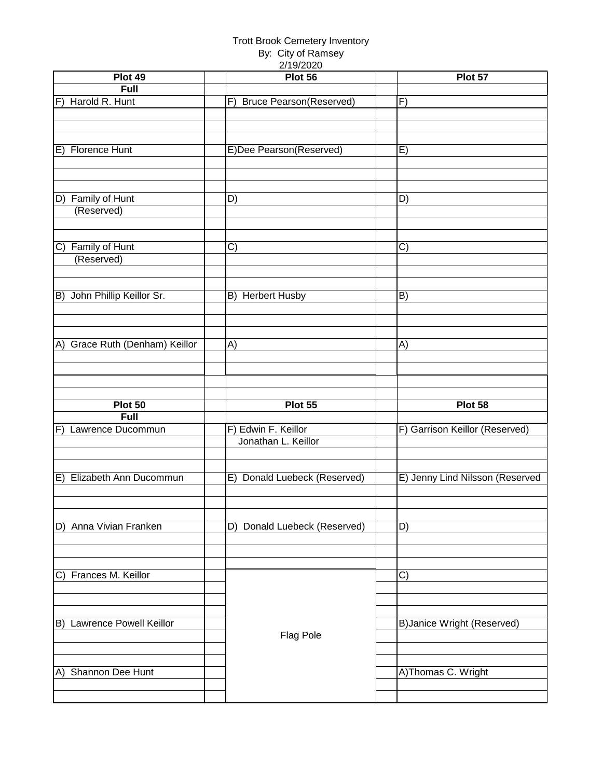| Plot 49                         | 2/19/2020<br>Plot 56         | Plot 57                           |
|---------------------------------|------------------------------|-----------------------------------|
| Full                            |                              |                                   |
| F) Harold R. Hunt               | F) Bruce Pearson(Reserved)   | F)                                |
|                                 |                              |                                   |
|                                 |                              |                                   |
|                                 |                              |                                   |
| E) Florence Hunt                | E)Dee Pearson(Reserved)      | E)                                |
|                                 |                              |                                   |
|                                 |                              |                                   |
|                                 |                              |                                   |
| D) Family of Hunt               | D)                           | D)                                |
| (Reserved)                      |                              |                                   |
|                                 |                              |                                   |
|                                 |                              |                                   |
| C) Family of Hunt<br>(Reserved) | C)                           | C)                                |
|                                 |                              |                                   |
|                                 |                              |                                   |
| B) John Phillip Keillor Sr.     | B) Herbert Husby             | B)                                |
|                                 |                              |                                   |
|                                 |                              |                                   |
|                                 |                              |                                   |
| A) Grace Ruth (Denham) Keillor  | A)                           | A)                                |
|                                 |                              |                                   |
|                                 |                              |                                   |
|                                 |                              |                                   |
| Plot 50                         |                              |                                   |
|                                 |                              |                                   |
|                                 | Plot 55                      | Plot 58                           |
| Full                            |                              |                                   |
| F) Lawrence Ducommun            | F) Edwin F. Keillor          | F) Garrison Keillor (Reserved)    |
|                                 | Jonathan L. Keillor          |                                   |
|                                 |                              |                                   |
|                                 |                              |                                   |
| E) Elizabeth Ann Ducommun       | E) Donald Luebeck (Reserved) | E) Jenny Lind Nilsson (Reserved   |
|                                 |                              |                                   |
|                                 |                              |                                   |
| D) Anna Vivian Franken          | D) Donald Luebeck (Reserved) | D)                                |
|                                 |                              |                                   |
|                                 |                              |                                   |
|                                 |                              |                                   |
| C) Frances M. Keillor           |                              | C)                                |
|                                 |                              |                                   |
|                                 |                              |                                   |
|                                 |                              |                                   |
| B) Lawrence Powell Keillor      |                              | <b>B)Janice Wright (Reserved)</b> |
|                                 | Flag Pole                    |                                   |
|                                 |                              |                                   |
| A) Shannon Dee Hunt             |                              | A)Thomas C. Wright                |
|                                 |                              |                                   |